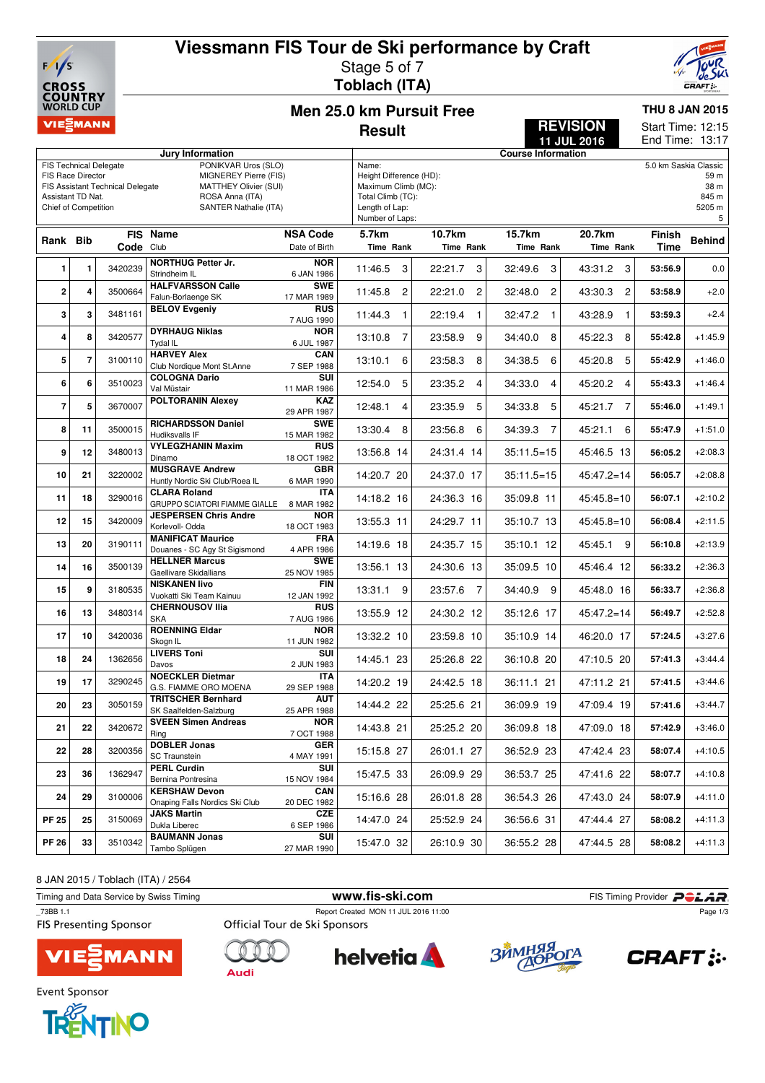

## **Viessmann FIS Tour de Ski performance by Craft** Stage 5 of 7

**Toblach (ITA)**



12:15

**THU 8 JAN 2015**

Start Time:

**REVISION**

**Men 25.0 km Pursuit Free Result**

|                         |                                                                                |           |                                                        |                           | End Time: 13:17<br>11 JUL 2016           |                                 |                           |                           |             |               |  |
|-------------------------|--------------------------------------------------------------------------------|-----------|--------------------------------------------------------|---------------------------|------------------------------------------|---------------------------------|---------------------------|---------------------------|-------------|---------------|--|
|                         |                                                                                |           | Jury Information                                       |                           |                                          |                                 | <b>Course Information</b> |                           |             |               |  |
|                         | PONIKVAR Uros (SLO)<br><b>FIS Technical Delegate</b>                           |           |                                                        |                           |                                          | 5.0 km Saskia Classic<br>Name:  |                           |                           |             |               |  |
|                         | FIS Race Director<br>MIGNEREY Pierre (FIS)<br>FIS Assistant Technical Delegate |           |                                                        |                           |                                          | Height Difference (HD):<br>59 m |                           |                           |             |               |  |
| Assistant TD Nat.       |                                                                                |           | <b>MATTHEY Olivier (SUI)</b><br>ROSA Anna (ITA)        |                           | Maximum Climb (MC):<br>Total Climb (TC): |                                 |                           |                           |             | 38 m<br>845 m |  |
| Chief of Competition    |                                                                                |           | SANTER Nathalie (ITA)                                  |                           | Length of Lap:                           |                                 |                           |                           |             | 5205 m        |  |
|                         |                                                                                |           |                                                        |                           | Number of Laps:                          |                                 |                           |                           |             | 5             |  |
|                         |                                                                                |           | FIS Name                                               | <b>NSA Code</b>           | 5.7km                                    | 10.7km                          | 15.7km                    | 20.7km                    | Finish      |               |  |
| Rank Bib                |                                                                                | Code Club |                                                        | Date of Birth             | Time Rank                                | Time Rank                       | Time Rank                 | Time Rank                 | <b>Time</b> | <b>Behind</b> |  |
|                         |                                                                                |           | <b>NORTHUG Petter Jr.</b>                              | <b>NOR</b>                |                                          |                                 |                           |                           |             |               |  |
| 1                       | 1                                                                              | 3420239   | Strindheim IL                                          | 6 JAN 1986                | 11:46.5<br>3                             | 22:21.7<br>3                    | 3<br>32:49.6              | 43:31.2<br>3              | 53:56.9     | 0.0           |  |
|                         |                                                                                |           | <b>HALFVARSSON Calle</b>                               | <b>SWE</b>                |                                          |                                 |                           |                           |             |               |  |
| $\overline{\mathbf{2}}$ | 4                                                                              | 3500664   | Falun-Borlaenge SK                                     | 17 MAR 1989               | 11:45.8<br>2                             | 22:21.0<br>2                    | 32:48.0<br>2              | 43:30.3<br>$\overline{c}$ | 53:58.9     | $+2.0$        |  |
| 3                       | 3                                                                              | 3481161   | <b>BELOV Evgeniy</b>                                   | <b>RUS</b>                | 11:44.3<br>$\mathbf{1}$                  | 22:19.4<br>$\mathbf{1}$         | 32:47.2<br>1              | 43:28.9<br>1              | 53:59.3     | $+2.4$        |  |
|                         |                                                                                |           |                                                        | 7 AUG 1990                |                                          |                                 |                           |                           |             |               |  |
| 4                       | 8                                                                              | 3420577   | <b>DYRHAUG Niklas</b>                                  | <b>NOR</b>                | $\overline{7}$<br>13:10.8                | 23:58.9<br>9                    | 34:40.0<br>8              | 45:22.3<br>8              | 55:42.8     | $+1:45.9$     |  |
|                         |                                                                                |           | Tydal IL                                               | 6 JUL 1987                |                                          |                                 |                           |                           |             |               |  |
| 5                       | $\overline{7}$                                                                 | 3100110   | <b>HARVEY Alex</b><br>Club Nordique Mont St.Anne       | CAN<br>7 SEP 1988         | 13:10.1<br>6                             | 23:58.3<br>8                    | 34:38.5<br>6              | 5<br>45:20.8              | 55:42.9     | $+1:46.0$     |  |
|                         |                                                                                |           | <b>COLOGNA Dario</b>                                   | SUI                       |                                          |                                 |                           |                           |             |               |  |
| 6                       | 6                                                                              | 3510023   | Val Müstair                                            | 11 MAR 1986               | 12:54.0<br>5                             | 23:35.2<br>4                    | 34:33.0<br>4              | 45:20.2<br>$\overline{4}$ | 55:43.3     | $+1:46.4$     |  |
| $\overline{7}$          | 5                                                                              | 3670007   | <b>POLTORANIN Alexey</b>                               | KAZ                       | 4                                        | 5                               | 5                         | 45:21.7 7                 |             | $+1:49.1$     |  |
|                         |                                                                                |           |                                                        | 29 APR 1987               | 12:48.1                                  | 23:35.9                         | 34:33.8                   |                           | 55:46.0     |               |  |
| 8                       | 11                                                                             | 3500015   | <b>RICHARDSSON Daniel</b>                              | <b>SWE</b>                | 13:30.4<br>8                             | 23:56.8<br>6                    | 34:39.3<br>$\overline{7}$ | 45:21.1<br>6              | 55:47.9     | $+1:51.0$     |  |
|                         |                                                                                |           | Hudiksvalls IF                                         | 15 MAR 1982               |                                          |                                 |                           |                           |             |               |  |
| 9                       | 12                                                                             | 3480013   | <b>VYLEGZHANIN Maxim</b><br>Dinamo                     | <b>RUS</b>                | 13:56.8 14                               | 24:31.4 14                      | $35:11.5=15$              | 45:46.5 13                | 56:05.2     | $+2:08.3$     |  |
|                         |                                                                                | 3220002   | <b>MUSGRAVE Andrew</b>                                 | 18 OCT 1982<br><b>GBR</b> |                                          |                                 |                           |                           |             |               |  |
| 10                      | 21                                                                             |           | Huntly Nordic Ski Club/Roea IL                         | 6 MAR 1990                | 14:20.7 20                               | 24:37.0 17                      | $35:11.5=15$              | $45:47.2=14$              | 56:05.7     | $+2:08.8$     |  |
|                         |                                                                                |           | <b>CLARA Roland</b>                                    | <b>ITA</b>                |                                          |                                 |                           |                           |             |               |  |
| 11                      | 18                                                                             | 3290016   | GRUPPO SCIATORI FIAMME GIALLE                          | 8 MAR 1982                | 14:18.2 16                               | 24:36.3 16                      | 35:09.8 11                | $45:45.8=10$              | 56:07.1     | $+2:10.2$     |  |
| 12                      | 15                                                                             | 3420009   | <b>JESPERSEN Chris Andre</b>                           | <b>NOR</b>                | 13:55.3 11                               | 24:29.7 11                      | 35:10.7 13                | $45:45.8=10$              | 56:08.4     | $+2:11.5$     |  |
|                         |                                                                                |           | Korlevoll- Odda                                        | 18 OCT 1983               |                                          |                                 |                           |                           |             |               |  |
| 13                      | 20                                                                             | 3190111   | <b>MANIFICAT Maurice</b>                               | <b>FRA</b><br>4 APR 1986  | 14:19.6 18                               | 24:35.7 15                      | 35:10.1 12                | 45:45.1 9                 | 56:10.8     | $+2:13.9$     |  |
|                         |                                                                                |           | Douanes - SC Agy St Sigismond<br><b>HELLNER Marcus</b> | <b>SWE</b>                |                                          |                                 |                           |                           |             |               |  |
| 14                      | 16                                                                             | 3500139   | Gaellivare Skidallians                                 | 25 NOV 1985               | 13:56.1 13                               | 24:30.6 13                      | 35:09.5 10                | 45:46.4 12                | 56:33.2     | $+2:36.3$     |  |
|                         |                                                                                | 3180535   | <b>NISKANEN livo</b>                                   | <b>FIN</b>                |                                          |                                 |                           |                           |             |               |  |
| 15                      | 9                                                                              |           | Vuokatti Ski Team Kainuu                               | 12 JAN 1992               | 13:31.1<br>9                             | 23:57.6<br>$\overline{7}$       | 34:40.9 9                 | 45:48.0 16                | 56:33.7     | $+2:36.8$     |  |
| 16                      | 13                                                                             | 3480314   | <b>CHERNOUSOV IIia</b>                                 | <b>RUS</b>                | 13:55.9 12                               | 24:30.2 12                      | 35:12.6 17                | $45:47.2=14$              | 56:49.7     | $+2:52.8$     |  |
|                         |                                                                                |           | <b>SKA</b>                                             | 7 AUG 1986                |                                          |                                 |                           |                           |             |               |  |
| 17                      | 10                                                                             | 3420036   | <b>ROENNING Eldar</b><br>Skogn IL                      | <b>NOR</b><br>11 JUN 1982 | 13:32.2 10                               | 23:59.8 10                      | 35:10.9 14                | 46:20.0 17                | 57:24.5     | $+3:27.6$     |  |
|                         |                                                                                |           | <b>LIVERS Toni</b>                                     | SUI                       |                                          |                                 |                           |                           |             |               |  |
| 18                      | 24                                                                             | 1362656   | Davos                                                  | 2 JUN 1983                | 14:45.1 23                               | 25:26.8 22                      | 36:10.8 20                | 47:10.5 20                | 57:41.3     | $+3:44.4$     |  |
|                         |                                                                                |           | <b>NOECKLER Dietmar</b>                                | <b>ITA</b>                |                                          |                                 |                           |                           |             |               |  |
| 19                      | 17                                                                             | 3290245   | G.S. FIAMME ORO MOENA                                  | 29 SEP 1988               | 14:20.2 19                               | 24:42.5 18                      | 36:11.1 21                | 47:11.2 21                | 57:41.5     | $+3:44.6$     |  |
| 20                      | 23                                                                             | 3050159   | <b>TRITSCHER Bernhard</b>                              | <b>AUT</b>                | 14:44.2 22                               | 25:25.6 21                      | 36:09.9 19                | 47:09.4 19                | 57:41.6     | $+3:44.7$     |  |
|                         |                                                                                | 3420672   | SK Saalfelden-Salzburg                                 | 25 APR 1988               |                                          |                                 |                           |                           |             |               |  |
| 21                      | 22                                                                             |           | <b>SVEEN Simen Andreas</b>                             | <b>NOR</b>                | 14:43.8 21                               | 25:25.2 20                      | 36:09.8 18                | 47:09.0 18                | 57:42.9     | $+3:46.0$     |  |
|                         |                                                                                |           | Ring<br><b>DOBLER Jonas</b>                            | 7 OCT 1988<br><b>GER</b>  |                                          |                                 |                           |                           |             |               |  |
| 22                      | 28                                                                             | 3200356   | SC Traunstein                                          | 4 MAY 1991                | 15:15.8 27                               | 26:01.1 27                      | 36:52.9 23                | 47:42.4 23                | 58:07.4     | $+4:10.5$     |  |
| 23                      | 36                                                                             | 1362947   | <b>PERL Curdin</b>                                     | SUI                       |                                          |                                 |                           |                           |             |               |  |
|                         |                                                                                |           | Bernina Pontresina                                     | 15 NOV 1984               | 15:47.5 33                               | 26:09.9 29                      | 36:53.7 25                | 47:41.6 22                | 58:07.7     | $+4:10.8$     |  |
| 24                      | 29                                                                             | 3100006   | <b>KERSHAW Devon</b>                                   | CAN                       | 15:16.6 28                               | 26:01.8 28                      | 36:54.3 26                | 47:43.0 24                | 58:07.9     | $+4:11.0$     |  |
|                         |                                                                                |           | Onaping Falls Nordics Ski Club                         | 20 DEC 1982               |                                          |                                 |                           |                           |             |               |  |
| <b>PF 25</b>            | 25                                                                             | 3150069   | <b>JAKS Martin</b>                                     | CZE                       | 14:47.0 24                               | 25:52.9 24                      | 36:56.6 31                | 47:44.4 27                | 58:08.2     | $+4:11.3$     |  |
|                         |                                                                                |           | Dukla Liberec<br><b>BAUMANN Jonas</b>                  | 6 SEP 1986<br>SUI         |                                          |                                 |                           |                           |             |               |  |
| <b>PF 26</b>            | 33                                                                             | 3510342   | Tambo Splügen                                          | 27 MAR 1990               | 15:47.0 32                               | 26:10.9 30                      | 36:55.2 28                | 47:44.5 28                | 58:08.2     | $+4:11.3$     |  |
|                         |                                                                                |           |                                                        |                           |                                          |                                 |                           |                           |             |               |  |

8 JAN 2015 / Toblach (ITA) / 2564

 $\mathbf O$ 

| Timing and Data Service by Swiss Timing   | www.fis-ski.com               |                                      |            | FIS Timing Provider POLAR. |  |
|-------------------------------------------|-------------------------------|--------------------------------------|------------|----------------------------|--|
| 73BB 1.1<br><b>FIS Presenting Sponsor</b> | Official Tour de Ski Sponsors | Report Created MON 11 JUL 2016 11:00 |            | Page 1/3                   |  |
| <b>VIE EMANN</b>                          | Audi                          | helvetia <b>A</b>                    | ЗЙМНЯЯ ОГА | <b>CRAFT: :-</b>           |  |

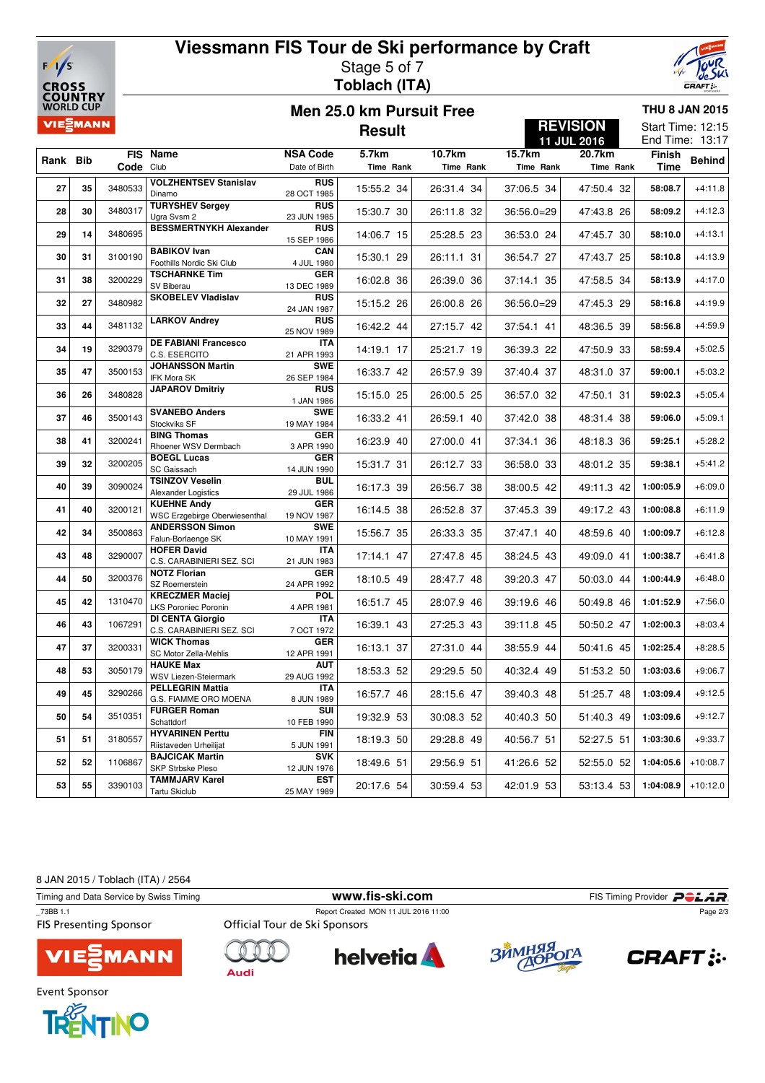

## **Viessmann FIS Tour de Ski performance by Craft** Stage 5 of 7 **Toblach (ITA)**



**Men 25.0 km Pursuit Free Result**

### **THU 8 JAN 2015** Start Time: 12:15

**REVISION**

|          |    |                    |                                                            |                           | <b>11 JUL 2016</b> |            |              |            | End Time: 13:17 |               |
|----------|----|--------------------|------------------------------------------------------------|---------------------------|--------------------|------------|--------------|------------|-----------------|---------------|
|          |    |                    | FIS Name                                                   | <b>NSA Code</b>           | 5.7km              | 10.7km     | 15.7km       | 20.7km     | <b>Finish</b>   |               |
| Rank Bib |    | Code Club          |                                                            | Date of Birth             | Time Rank          | Time Rank  | Time Rank    | Time Rank  | <b>Time</b>     | <b>Behind</b> |
|          |    |                    | <b>VOLZHENTSEV Stanislav</b>                               | <b>RUS</b>                |                    |            |              |            |                 |               |
| 27       | 35 | 3480533            | Dinamo                                                     | 28 OCT 1985               | 15:55.2 34         | 26:31.4 34 | 37:06.5 34   | 47:50.4 32 | 58:08.7         | $+4:11.8$     |
| 28       | 30 | 3480317            | <b>TURYSHEV Sergev</b>                                     | <b>RUS</b>                | 15:30.7 30         | 26:11.8 32 | $36:56.0=29$ | 47:43.8 26 | 58:09.2         | $+4:12.3$     |
|          |    |                    | Ugra Svsm 2                                                | 23 JUN 1985               |                    |            |              |            |                 |               |
| 29       | 14 | 3480695            | <b>BESSMERTNYKH Alexander</b>                              | <b>RUS</b><br>15 SEP 1986 | 14:06.7 15         | 25:28.5 23 | 36:53.0 24   | 47:45.7 30 | 58:10.0         | $+4:13.1$     |
| 30       | 31 | 3100190            | <b>BABIKOV Ivan</b><br>Foothills Nordic Ski Club           | CAN<br>4 JUL 1980         | 15:30.1 29         | 26:11.1 31 | 36:54.7 27   | 47:43.7 25 | 58:10.8         | $+4:13.9$     |
| 31       | 38 | 3200229            | <b>TSCHARNKE Tim</b><br>SV Biberau                         | <b>GER</b><br>13 DEC 1989 | 16:02.8 36         | 26:39.0 36 | 37:14.1 35   | 47:58.5 34 | 58:13.9         | $+4:17.0$     |
| 32       | 27 | 3480982            | <b>SKOBELEV Vladislav</b>                                  | <b>RUS</b><br>24 JAN 1987 | 15:15.2 26         | 26:00.8 26 | $36:56.0=29$ | 47:45.3 29 | 58:16.8         | $+4:19.9$     |
| 33       | 44 | 3481132            | <b>LARKOV Andrey</b>                                       | <b>RUS</b><br>25 NOV 1989 | 16:42.2 44         | 27:15.7 42 | 37:54.1 41   | 48:36.5 39 | 58:56.8         | $+4:59.9$     |
| 34       | 19 | 3290379            | <b>DE FABIANI Francesco</b><br>C.S. ESERCITO               | <b>ITA</b><br>21 APR 1993 | 14:19.1 17         | 25:21.7 19 | 36:39.3 22   | 47:50.9 33 | 58:59.4         | $+5:02.5$     |
|          |    |                    | <b>JOHANSSON Martin</b>                                    | <b>SWE</b>                |                    |            |              |            |                 |               |
| 35       | 47 | 3500153            | <b>IFK Mora SK</b>                                         | 26 SEP 1984               | 16:33.7 42         | 26:57.9 39 | 37:40.4 37   | 48:31.0 37 | 59:00.1         | $+5:03.2$     |
| 36       | 26 | 3480828            | <b>JAPAROV Dmitriy</b>                                     | <b>RUS</b><br>1 JAN 1986  | 15:15.0 25         | 26:00.5 25 | 36:57.0 32   | 47:50.1 31 | 59:02.3         | $+5:05.4$     |
| 37       | 46 | 3500143            | <b>SVANEBO Anders</b>                                      | <b>SWE</b>                | 16:33.2 41         | 26:59.1 40 | 37:42.0 38   | 48:31.4 38 | 59:06.0         | $+5:09.1$     |
|          |    |                    | Stockviks SF                                               | 19 MAY 1984               |                    |            |              |            |                 |               |
| 38       | 41 | 3200241            | <b>BING Thomas</b><br>Rhoener WSV Dermbach                 | <b>GER</b><br>3 APR 1990  | 16:23.9 40         | 27:00.0 41 | 37:34.1 36   | 48:18.3 36 | 59:25.1         | $+5:28.2$     |
|          |    | 3200205<br>3090024 | <b>BOEGL Lucas</b>                                         | <b>GER</b>                |                    |            |              |            |                 |               |
| 39       | 32 |                    | SC Gaissach                                                | 14 JUN 1990               | 15:31.7 31         | 26:12.7 33 | 36:58.0 33   | 48:01.2 35 | 59:38.1         | $+5:41.2$     |
| 40       | 39 |                    | <b>TSINZOV Veselin</b>                                     | <b>BUL</b>                | 16:17.3 39         | 26:56.7 38 | 38:00.5 42   | 49:11.3 42 | 1:00:05.9       | $+6:09.0$     |
|          |    |                    | Alexander Logistics                                        | 29 JUL 1986               |                    |            |              |            |                 |               |
| 41       | 40 | 3200121            | <b>KUEHNE Andy</b><br><b>WSC Erzgebirge Oberwiesenthal</b> | <b>GER</b><br>19 NOV 1987 | 16:14.5 38         | 26:52.8 37 | 37:45.3 39   | 49:17.2 43 | 1:00:08.8       | $+6:11.9$     |
|          |    |                    | <b>ANDERSSON Simon</b>                                     | <b>SWE</b>                |                    |            |              |            |                 |               |
| 42       | 34 | 3500863            | Falun-Borlaenge SK                                         | 10 MAY 1991               | 15:56.7 35         | 26:33.3 35 | 37:47.1 40   | 48:59.6 40 | 1:00:09.7       | $+6:12.8$     |
| 43       | 48 | 3290007            | <b>HOFER David</b>                                         | <b>ITA</b>                | 17:14.1 47         | 27:47.8 45 | 38:24.5 43   | 49:09.0 41 | 1:00:38.7       | $+6:41.8$     |
|          |    |                    | C.S. CARABINIERI SEZ. SCI                                  | 21 JUN 1983               |                    |            |              |            |                 |               |
| 44       | 50 | 3200376            | <b>NOTZ Florian</b><br>SZ Roemerstein                      | <b>GER</b><br>24 APR 1992 | 18:10.5 49         | 28:47.7 48 | 39:20.3 47   | 50:03.0 44 | 1:00:44.9       | $+6:48.0$     |
|          |    |                    | <b>KRECZMER Maciej</b>                                     | <b>POL</b>                |                    |            |              |            |                 |               |
| 45       | 42 | 1310470            | LKS Poroniec Poronin                                       | 4 APR 1981                | 16:51.7 45         | 28:07.9 46 | 39:19.6 46   | 50:49.8 46 | 1:01:52.9       | $+7:56.0$     |
| 46       | 43 | 1067291            | DI CENTA Giorgio                                           | <b>ITA</b>                | 16:39.1 43         | 27:25.3 43 | 39:11.8 45   | 50:50.2 47 | 1:02:00.3       | $+8:03.4$     |
|          |    |                    | C.S. CARABINIERI SEZ. SCI                                  | 7 OCT 1972                |                    |            |              |            |                 |               |
| 47       | 37 | 3200331            | <b>WICK Thomas</b><br>SC Motor Zella-Mehlis                | <b>GER</b><br>12 APR 1991 | 16:13.1 37         | 27:31.0 44 | 38:55.9 44   | 50:41.6 45 | 1:02:25.4       | $+8:28.5$     |
| 48       | 53 | 3050179            | <b>HAUKE Max</b>                                           | <b>AUT</b>                | 18:53.3 52         | 29:29.5 50 | 40:32.4 49   | 51:53.2 50 | 1:03:03.6       | $+9:06.7$     |
|          |    |                    | WSV Liezen-Steiermark                                      | 29 AUG 1992               |                    |            |              |            |                 |               |
| 49       | 45 | 3290266            | <b>PELLEGRIN Mattia</b><br>G.S. FIAMME ORO MOENA           | <b>ITA</b><br>8 JUN 1989  | 16:57.7 46         | 28:15.6 47 | 39:40.3 48   | 51:25.7 48 | 1:03:09.4       | $+9:12.5$     |
|          |    |                    | <b>FURGER Roman</b>                                        | SUI                       |                    |            |              |            |                 |               |
| 50       | 54 | 3510351            | Schattdorf                                                 | 10 FEB 1990               | 19:32.9 53         | 30:08.3 52 | 40:40.3 50   | 51:40.3 49 | 1:03:09.6       | $+9:12.7$     |
| 51       | 51 |                    | <b>HYVARINEN Perttu</b>                                    | <b>FIN</b>                | 18:19.3 50         | 29:28.8 49 | 40:56.7 51   | 52:27.5 51 | 1:03:30.6       | $+9:33.7$     |
|          |    | 3180557            | Riistaveden Urheilijat                                     | 5 JUN 1991                |                    |            |              |            |                 |               |
| 52       | 52 | 1106867            | <b>BAJCICAK Martin</b>                                     | <b>SVK</b>                | 18:49.6 51         | 29:56.9 51 | 41:26.6 52   | 52:55.0 52 | 1:04:05.6       | $+10:08.7$    |
|          |    |                    | SKP Strbske Pleso<br><b>TAMMJARV Karel</b>                 | 12 JUN 1976<br><b>EST</b> |                    |            |              |            |                 |               |
| 53       | 55 | 3390103            | Tartu Skiclub                                              | 25 MAY 1989               | 20:17.6 54         | 30:59.4 53 | 42:01.9 53   | 53:13.4 53 | 1:04:08.9       | $+10:12.0$    |
|          |    |                    |                                                            |                           |                    |            |              |            |                 |               |

8 JAN 2015 / Toblach (ITA) / 2564

Timing and Data Service by Swiss Timing **www.fis-ski.com** FIS Timing Provider **PCLAR**<br>
T3BB 1.1 Report Created MON 11 JUL 2016 11:00



**helvetia** 

Page 2/3

**FIS Presenting Sponsor** 



 $\bigcap$ 

**Audi** 



Event Sponsor



**CRAFT: :.**